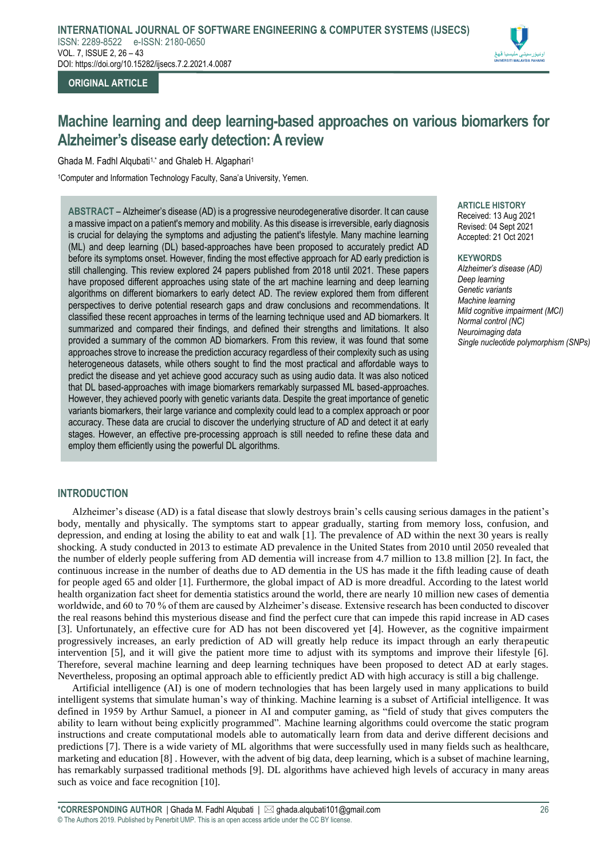

**ORIGINAL ARTICLE**

# **Machine learning and deep learning-based approaches on various biomarkers for Alzheimer's disease early detection: A review**

Ghada M. Fadhl Alqubati<sup>1,\*</sup> and Ghaleb H. Algaphari<sup>1</sup>

<sup>1</sup>Computer and Information Technology Faculty, Sana'a University, Yemen.

**ABSTRACT** – Alzheimer's disease (AD) is a progressive neurodegenerative disorder. It can cause a massive impact on a patient's memory and mobility. As this disease is irreversible, early diagnosis is crucial for delaying the symptoms and adjusting the patient's lifestyle. Many machine learning (ML) and deep learning (DL) based-approaches have been proposed to accurately predict AD before its symptoms onset. However, finding the most effective approach for AD early prediction is still challenging. This review explored 24 papers published from 2018 until 2021. These papers have proposed different approaches using state of the art machine learning and deep learning algorithms on different biomarkers to early detect AD. The review explored them from different perspectives to derive potential research gaps and draw conclusions and recommendations. It classified these recent approaches in terms of the learning technique used and AD biomarkers. It summarized and compared their findings, and defined their strengths and limitations. It also provided a summary of the common AD biomarkers. From this review, it was found that some approaches strove to increase the prediction accuracy regardless of their complexity such as using heterogeneous datasets, while others sought to find the most practical and affordable ways to predict the disease and yet achieve good accuracy such as using audio data. It was also noticed that DL based-approaches with image biomarkers remarkably surpassed ML based-approaches. However, they achieved poorly with genetic variants data. Despite the great importance of genetic variants biomarkers, their large variance and complexity could lead to a complex approach or poor accuracy. These data are crucial to discover the underlying structure of AD and detect it at early stages. However, an effective pre-processing approach is still needed to refine these data and employ them efficiently using the powerful DL algorithms.

# **ARTICLE HISTORY**

Received: 13 Aug 2021 Revised: 04 Sept 2021 Accepted: 21 Oct 2021

#### **KEYWORDS**

*Alzheimer's disease (AD) Deep learning Genetic variants Machine learning Mild cognitive impairment (MCI) Normal control (NC) Neuroimaging data Single nucleotide polymorphism (SNPs)*

# **INTRODUCTION**

Alzheimer's disease (AD) is a fatal disease that slowly destroys brain's cells causing serious damages in the patient's body, mentally and physically. The symptoms start to appear gradually, starting from memory loss, confusion, and depression, and ending at losing the ability to eat and walk [1]. The prevalence of AD within the next 30 years is really shocking. A study conducted in 2013 to estimate AD prevalence in the United States from 2010 until 2050 revealed that the number of elderly people suffering from AD dementia will increase from 4.7 million to 13.8 million [2]. In fact, the continuous increase in the number of deaths due to AD dementia in the US has made it the fifth leading cause of death for people aged 65 and older [1]. Furthermore, the global impact of AD is more dreadful. According to the latest world health organization fact sheet for dementia statistics around the world, there are nearly 10 million new cases of dementia worldwide, and 60 to 70 % of them are caused by Alzheimer's disease. Extensive research has been conducted to discover the real reasons behind this mysterious disease and find the perfect cure that can impede this rapid increase in AD cases [3]. Unfortunately, an effective cure for AD has not been discovered yet [4]. However, as the cognitive impairment progressively increases, an early prediction of AD will greatly help reduce its impact through an early therapeutic intervention [5], and it will give the patient more time to adjust with its symptoms and improve their lifestyle [6]. Therefore, several machine learning and deep learning techniques have been proposed to detect AD at early stages. Nevertheless, proposing an optimal approach able to efficiently predict AD with high accuracy is still a big challenge.

Artificial intelligence (AI) is one of modern technologies that has been largely used in many applications to build intelligent systems that simulate human's way of thinking. Machine learning is a subset of Artificial intelligence. It was defined in 1959 by Arthur Samuel, a pioneer in AI and computer gaming, as "field of study that gives computers the ability to learn without being explicitly programmed". Machine learning algorithms could overcome the static program instructions and create computational models able to automatically learn from data and derive different decisions and predictions [7]. There is a wide variety of ML algorithms that were successfully used in many fields such as healthcare, marketing and education [8] . However, with the advent of big data, deep learning, which is a subset of machine learning, has remarkably surpassed traditional methods [9]. DL algorithms have achieved high levels of accuracy in many areas such as voice and face recognition [10].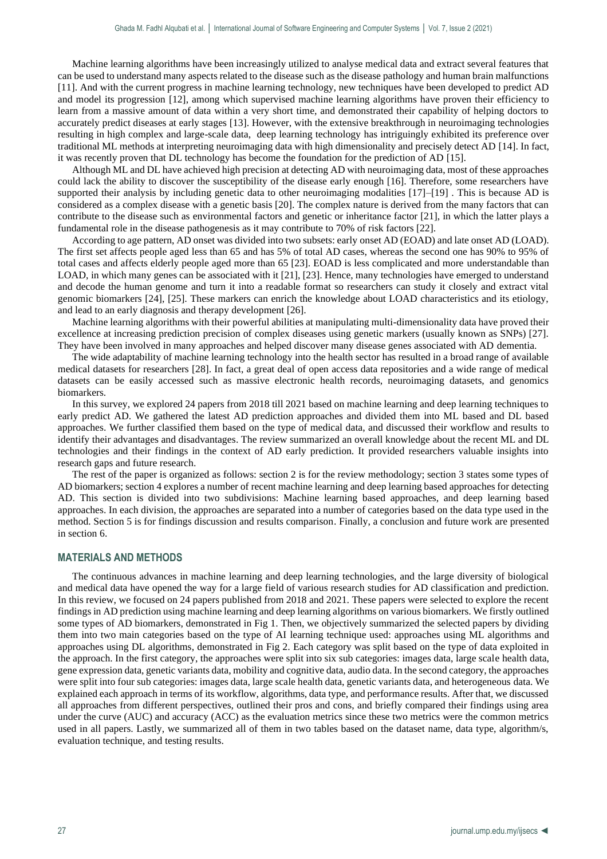Machine learning algorithms have been increasingly utilized to analyse medical data and extract several features that can be used to understand many aspects related to the disease such as the disease pathology and human brain malfunctions [11]. And with the current progress in machine learning technology, new techniques have been developed to predict AD and model its progression [12], among which supervised machine learning algorithms have proven their efficiency to learn from a massive amount of data within a very short time, and demonstrated their capability of helping doctors to accurately predict diseases at early stages [13]. However, with the extensive breakthrough in neuroimaging technologies resulting in high complex and large-scale data, deep learning technology has intriguingly exhibited its preference over traditional ML methods at interpreting neuroimaging data with high dimensionality and precisely detect AD [14]. In fact, it was recently proven that DL technology has become the foundation for the prediction of AD [15].

Although ML and DL have achieved high precision at detecting AD with neuroimaging data, most of these approaches could lack the ability to discover the susceptibility of the disease early enough [16]. Therefore, some researchers have supported their analysis by including genetic data to other neuroimaging modalities [17]–[19] . This is because AD is considered as a complex disease with a genetic basis [20]. The complex nature is derived from the many factors that can contribute to the disease such as environmental factors and genetic or inheritance factor [21], in which the latter plays a fundamental role in the disease pathogenesis as it may contribute to 70% of risk factors [22].

According to age pattern, AD onset was divided into two subsets: early onset AD (EOAD) and late onset AD (LOAD). The first set affects people aged less than 65 and has 5% of total AD cases, whereas the second one has 90% to 95% of total cases and affects elderly people aged more than 65 [23]. EOAD is less complicated and more understandable than LOAD, in which many genes can be associated with it [21], [23]. Hence, many technologies have emerged to understand and decode the human genome and turn it into a readable format so researchers can study it closely and extract vital genomic biomarkers [24], [25]. These markers can enrich the knowledge about LOAD characteristics and its etiology, and lead to an early diagnosis and therapy development [26].

Machine learning algorithms with their powerful abilities at manipulating multi-dimensionality data have proved their excellence at increasing prediction precision of complex diseases using genetic markers (usually known as SNPs) [27]. They have been involved in many approaches and helped discover many disease genes associated with AD dementia.

The wide adaptability of machine learning technology into the health sector has resulted in a broad range of available medical datasets for researchers [28]. In fact, a great deal of open access data repositories and a wide range of medical datasets can be easily accessed such as massive electronic health records, neuroimaging datasets, and genomics biomarkers.

In this survey, we explored 24 papers from 2018 till 2021 based on machine learning and deep learning techniques to early predict AD. We gathered the latest AD prediction approaches and divided them into ML based and DL based approaches. We further classified them based on the type of medical data, and discussed their workflow and results to identify their advantages and disadvantages. The review summarized an overall knowledge about the recent ML and DL technologies and their findings in the context of AD early prediction. It provided researchers valuable insights into research gaps and future research.

The rest of the paper is organized as follows: section 2 is for the review methodology; section 3 states some types of AD biomarkers; section 4 explores a number of recent machine learning and deep learning based approaches for detecting AD. This section is divided into two subdivisions: Machine learning based approaches, and deep learning based approaches. In each division, the approaches are separated into a number of categories based on the data type used in the method. Section 5 is for findings discussion and results comparison. Finally, a conclusion and future work are presented in section 6.

## **MATERIALS AND METHODS**

The continuous advances in machine learning and deep learning technologies, and the large diversity of biological and medical data have opened the way for a large field of various research studies for AD classification and prediction. In this review, we focused on 24 papers published from 2018 and 2021. These papers were selected to explore the recent findings in AD prediction using machine learning and deep learning algorithms on various biomarkers. We firstly outlined some types of AD biomarkers, demonstrated in Fig 1. Then, we objectively summarized the selected papers by dividing them into two main categories based on the type of AI learning technique used: approaches using ML algorithms and approaches using DL algorithms, demonstrated in Fig 2. Each category was split based on the type of data exploited in the approach. In the first category, the approaches were split into six sub categories: images data, large scale health data, gene expression data, genetic variants data, mobility and cognitive data, audio data. In the second category, the approaches were split into four sub categories: images data, large scale health data, genetic variants data, and heterogeneous data. We explained each approach in terms of its workflow, algorithms, data type, and performance results. After that, we discussed all approaches from different perspectives, outlined their pros and cons, and briefly compared their findings using area under the curve (AUC) and accuracy (ACC) as the evaluation metrics since these two metrics were the common metrics used in all papers. Lastly, we summarized all of them in two tables based on the dataset name, data type, algorithm/s, evaluation technique, and testing results.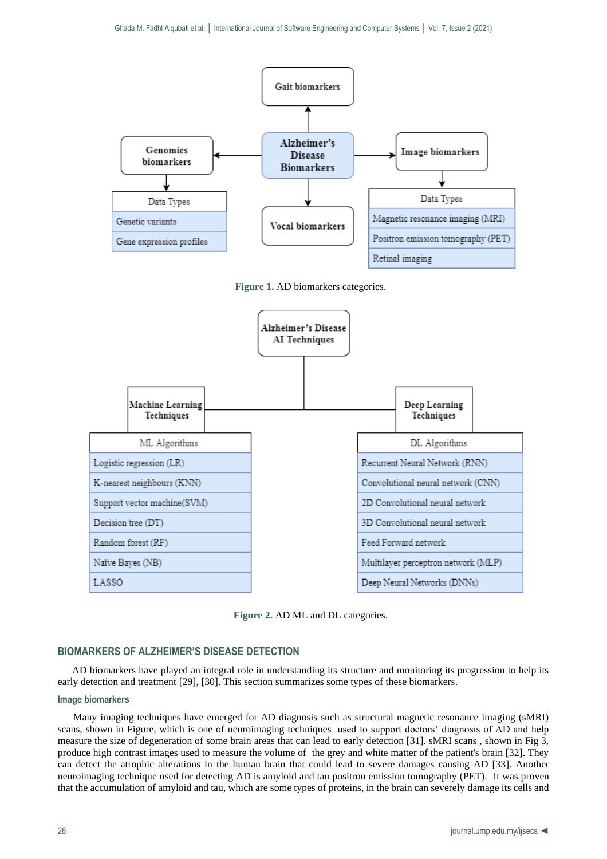





**Figure 2.** AD ML and DL categories.

# **BIOMARKERS OF ALZHEIMER'S DISEASE DETECTION**

AD biomarkers have played an integral role in understanding its structure and monitoring its progression to help its early detection and treatment [29], [30]. This section summarizes some types of these biomarkers.

## **Image biomarkers**

 Many imaging techniques have emerged for AD diagnosis such as structural magnetic resonance imaging (sMRI) scans, shown in Figure, which is one of neuroimaging techniques used to support doctors' diagnosis of AD and help measure the size of degeneration of some brain areas that can lead to early detection [31]. sMRI scans , shown in Fig 3, produce high contrast images used to measure the volume of the grey and white matter of the patient's brain [32]. They can detect the atrophic alterations in the human brain that could lead to severe damages causing AD [33]. Another neuroimaging technique used for detecting AD is amyloid and tau positron emission tomography (PET). It was proven that the accumulation of amyloid and tau, which are some types of proteins, in the brain can severely damage its cells and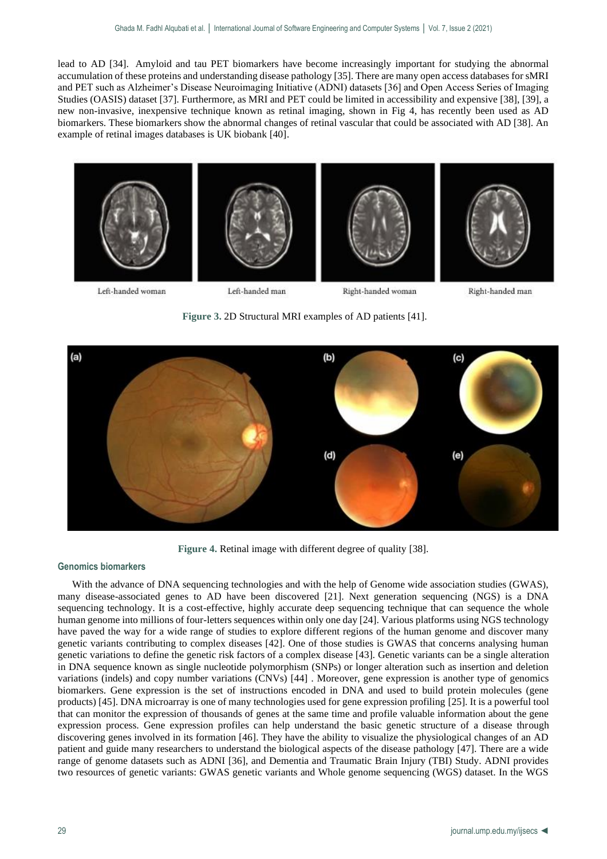lead to AD [34]. Amyloid and tau PET biomarkers have become increasingly important for studying the abnormal accumulation of these proteins and understanding disease pathology [35]. There are many open access databases for sMRI and PET such as Alzheimer's Disease Neuroimaging Initiative (ADNI) datasets [36] and Open Access Series of Imaging Studies (OASIS) dataset [37]. Furthermore, as MRI and PET could be limited in accessibility and expensive [38], [39], a new non-invasive, inexpensive technique known as retinal imaging, shown in Fig 4, has recently been used as AD biomarkers. These biomarkers show the abnormal changes of retinal vascular that could be associated with AD [38]. An example of retinal images databases is UK biobank [40].



Left-handed woman

Left-handed man

Right-handed woman

Right-handed man

**Figure 3.** 2D Structural MRI examples of AD patients [41].



**Figure 4.** Retinal image with different degree of quality [38].

## **Genomics biomarkers**

With the advance of DNA sequencing technologies and with the help of Genome wide association studies (GWAS), many disease-associated genes to AD have been discovered [21]. Next generation sequencing (NGS) is a DNA sequencing technology. It is a cost-effective, highly accurate deep sequencing technique that can sequence the whole human genome into millions of four-letters sequences within only one day [24]. Various platforms using NGS technology have paved the way for a wide range of studies to explore different regions of the human genome and discover many genetic variants contributing to complex diseases [42]. One of those studies is GWAS that concerns analysing human genetic variations to define the genetic risk factors of a complex disease [43]. Genetic variants can be a single alteration in DNA sequence known as single nucleotide polymorphism (SNPs) or longer alteration such as insertion and deletion variations (indels) and copy number variations (CNVs) [44] . Moreover, gene expression is another type of genomics biomarkers. Gene expression is the set of instructions encoded in DNA and used to build protein molecules (gene products) [45]. DNA microarray is one of many technologies used for gene expression profiling [25]. It is a powerful tool that can monitor the expression of thousands of genes at the same time and profile valuable information about the gene expression process. Gene expression profiles can help understand the basic genetic structure of a disease through discovering genes involved in its formation [46]. They have the ability to visualize the physiological changes of an AD patient and guide many researchers to understand the biological aspects of the disease pathology [47]. There are a wide range of genome datasets such as ADNI [36], and Dementia and Traumatic Brain Injury (TBI) Study. ADNI provides two resources of genetic variants: GWAS genetic variants and Whole genome sequencing (WGS) dataset. In the WGS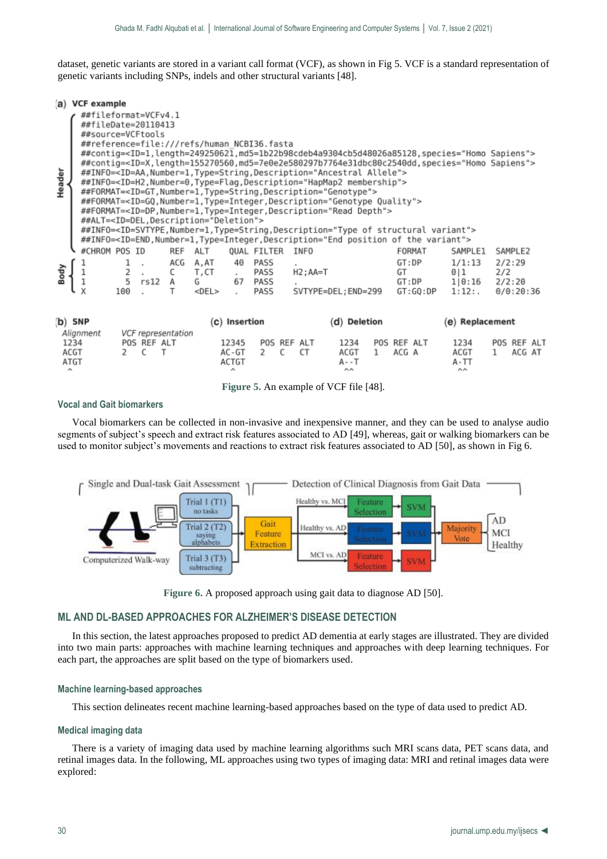dataset, genetic variants are stored in a variant call format (VCF), as shown in Fig 5. VCF is a standard representation of genetic variants including SNPs, indels and other structural variants [48].

|         |                      | (a) VCF example                                                  |                |                                                     |                         |                                                                                                                       |                         |                              |                  |             |                                                                                                                                                                                                                                                                                                                                                                                                                                                                                                                                                                                                                                                                                                                                                                                                                                                                                                                                    |   |                      |                   |                                                                                                                                                                                                                                                                                                                                                                                               |     |                               |  |
|---------|----------------------|------------------------------------------------------------------|----------------|-----------------------------------------------------|-------------------------|-----------------------------------------------------------------------------------------------------------------------|-------------------------|------------------------------|------------------|-------------|------------------------------------------------------------------------------------------------------------------------------------------------------------------------------------------------------------------------------------------------------------------------------------------------------------------------------------------------------------------------------------------------------------------------------------------------------------------------------------------------------------------------------------------------------------------------------------------------------------------------------------------------------------------------------------------------------------------------------------------------------------------------------------------------------------------------------------------------------------------------------------------------------------------------------------|---|----------------------|-------------------|-----------------------------------------------------------------------------------------------------------------------------------------------------------------------------------------------------------------------------------------------------------------------------------------------------------------------------------------------------------------------------------------------|-----|-------------------------------|--|
| Header  |                      | ##fileformat=VCFv4.1<br>##fileDate=20110413<br>##source=VCFtools |                |                                                     |                         | ##reference=file:///refs/human NCBI36.fasta<br>##ALT= <id=del,description="deletion"></id=del,description="deletion"> |                         |                              |                  |             | ##INFO= <id=aa,number=1,type=string,description="ancestral allele"=""><br/>##INFO=<id=h2,number=0,type=flag,description="hapmap2 membership"=""><br/>##FORMAT=<id=gt,number=1,type=string,description="genotype"><br/>##FORMAT=<id=gq,number=1,type=integer,description="genotype quality"=""><br/>##FORMAT=<id=dp,number=1,type=integer,description="read depth"=""><br/>##INFO=<id=svtype,number=1,type=string,description="type of="" structural="" variant"=""><br/>##INFO=<id=end,number=1,type=integer,description="end of="" position="" the="" variant"=""></id=end,number=1,type=integer,description="end></id=svtype,number=1,type=string,description="type></id=dp,number=1,type=integer,description="read></id=gq,number=1,type=integer,description="genotype></id=gt,number=1,type=string,description="genotype"></id=h2,number=0,type=flag,description="hapmap2></id=aa,number=1,type=string,description="ancestral> |   |                      |                   | ="#contig= <id=1,length=249250621,md5=1b22b98cdeb4a9304cb5d48026a85128,species="homo sapiens#<br="">="##contig=<id=x,length=155270560,md5=7e0e2e580297b7764e31dbc80c2540dd,species="homo sapiens#<="" th=""><th></th><th></th><th></th></id=x,length=155270560,md5=7e0e2e580297b7764e31dbc80c2540dd,species="homo></id=1,length=249250621,md5=1b22b98cdeb4a9304cb5d48026a85128,species="homo> |     |                               |  |
|         |                      | #CHROM POS ID                                                    |                |                                                     |                         | REF ALT                                                                                                               |                         | QUAL FILTER                  |                  | INFO        |                                                                                                                                                                                                                                                                                                                                                                                                                                                                                                                                                                                                                                                                                                                                                                                                                                                                                                                                    |   |                      | FORMAT            | SAMPLE1                                                                                                                                                                                                                                                                                                                                                                                       |     | SAMPLE2                       |  |
| 힑       |                      |                                                                  | 100            | $\begin{array}{cc} 2 & . \\ 5 & r s 12 \end{array}$ | ACG<br>C<br>А           | A, AT<br>T, CT<br>G<br>$<$ DEL $>$                                                                                    | 40<br>$\sim$<br>67      | PASS<br>PASS<br>PASS<br>PASS |                  | $H2$ ; AA=T | SVTYPE=DEL; END=299                                                                                                                                                                                                                                                                                                                                                                                                                                                                                                                                                                                                                                                                                                                                                                                                                                                                                                                |   | GT:DP<br>GT          | GT:DP<br>GT:GO:DP | 1/1:13<br>0 1<br>1 0:16<br>$1:12:$ .                                                                                                                                                                                                                                                                                                                                                          | 2/2 | 2/2:29<br>2/2:20<br>0/0:20:36 |  |
| (b) SNP |                      |                                                                  |                |                                                     |                         |                                                                                                                       | (c) Insertion           |                              |                  |             | (d) Deletion                                                                                                                                                                                                                                                                                                                                                                                                                                                                                                                                                                                                                                                                                                                                                                                                                                                                                                                       |   |                      |                   | (e) Replacement                                                                                                                                                                                                                                                                                                                                                                               |     |                               |  |
|         | 1234<br>ACGT<br>ATGT | Alignment                                                        | $\overline{2}$ | POS REF ALT<br>C                                    | VCF representation<br>т |                                                                                                                       | 12345<br>AC-GT<br>ACTGT | $\mathbf{2}$                 | POS REF ALT<br>C | СT          | 1234<br>ACGT<br>A - - T                                                                                                                                                                                                                                                                                                                                                                                                                                                                                                                                                                                                                                                                                                                                                                                                                                                                                                            | 1 | POS REF ALT<br>ACG A |                   | 1234<br>ACGT<br>A-TT                                                                                                                                                                                                                                                                                                                                                                          | 1   | POS REF ALT<br>ACG AT         |  |

**Figure 5.** An example of VCF file [48].

## **Vocal and Gait biomarkers**

Vocal biomarkers can be collected in non-invasive and inexpensive manner, and they can be used to analyse audio segments of subject's speech and extract risk features associated to AD [49], whereas, gait or walking biomarkers can be used to monitor subject's movements and reactions to extract risk features associated to AD [50], as shown in Fig 6.



**Figure 6.** A proposed approach using gait data to diagnose AD [50].

# **ML AND DL-BASED APPROACHES FOR ALZHEIMER'S DISEASE DETECTION**

In this section, the latest approaches proposed to predict AD dementia at early stages are illustrated. They are divided into two main parts: approaches with machine learning techniques and approaches with deep learning techniques. For each part, the approaches are split based on the type of biomarkers used.

## **Machine learning-based approaches**

This section delineates recent machine learning-based approaches based on the type of data used to predict AD.

## **Medical imaging data**

There is a variety of imaging data used by machine learning algorithms such MRI scans data, PET scans data, and retinal images data. In the following, ML approaches using two types of imaging data: MRI and retinal images data were explored: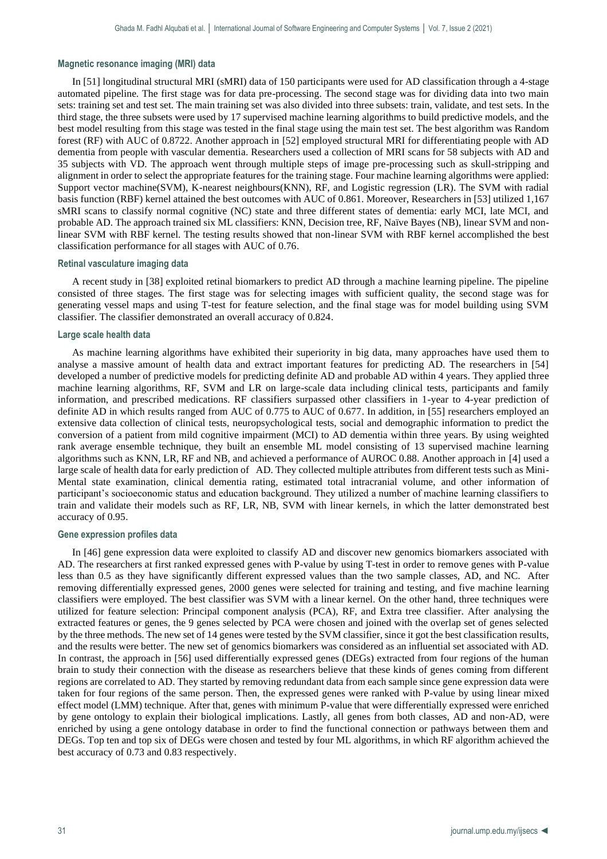## **Magnetic resonance imaging (MRI) data**

In [51] longitudinal structural MRI (sMRI) data of 150 participants were used for AD classification through a 4-stage automated pipeline. The first stage was for data pre-processing. The second stage was for dividing data into two main sets: training set and test set. The main training set was also divided into three subsets: train, validate, and test sets. In the third stage, the three subsets were used by 17 supervised machine learning algorithms to build predictive models, and the best model resulting from this stage was tested in the final stage using the main test set. The best algorithm was Random forest (RF) with AUC of 0.8722. Another approach in [52] employed structural MRI for differentiating people with AD dementia from people with vascular dementia. Researchers used a collection of MRI scans for 58 subjects with AD and 35 subjects with VD. The approach went through multiple steps of image pre-processing such as skull-stripping and alignment in order to select the appropriate features for the training stage. Four machine learning algorithms were applied: Support vector machine(SVM), K-nearest neighbours(KNN), RF, and Logistic regression (LR). The SVM with radial basis function (RBF) kernel attained the best outcomes with AUC of 0.861. Moreover, Researchers in [53] utilized 1,167 sMRI scans to classify normal cognitive (NC) state and three different states of dementia: early MCI, late MCI, and probable AD. The approach trained six ML classifiers: KNN, Decision tree, RF, Naïve Bayes (NB), linear SVM and nonlinear SVM with RBF kernel. The testing results showed that non-linear SVM with RBF kernel accomplished the best classification performance for all stages with AUC of 0.76.

## **Retinal vasculature imaging data**

A recent study in [38] exploited retinal biomarkers to predict AD through a machine learning pipeline. The pipeline consisted of three stages. The first stage was for selecting images with sufficient quality, the second stage was for generating vessel maps and using T-test for feature selection, and the final stage was for model building using SVM classifier. The classifier demonstrated an overall accuracy of 0.824.

#### **Large scale health data**

As machine learning algorithms have exhibited their superiority in big data, many approaches have used them to analyse a massive amount of health data and extract important features for predicting AD. The researchers in [54] developed a number of predictive models for predicting definite AD and probable AD within 4 years. They applied three machine learning algorithms, RF, SVM and LR on large-scale data including clinical tests, participants and family information, and prescribed medications. RF classifiers surpassed other classifiers in 1-year to 4-year prediction of definite AD in which results ranged from AUC of 0.775 to AUC of 0.677. In addition, in [55] researchers employed an extensive data collection of clinical tests, neuropsychological tests, social and demographic information to predict the conversion of a patient from mild cognitive impairment (MCI) to AD dementia within three years. By using weighted rank average ensemble technique, they built an ensemble ML model consisting of 13 supervised machine learning algorithms such as KNN, LR, RF and NB, and achieved a performance of AUROC 0.88. Another approach in [4] used a large scale of health data for early prediction of AD. They collected multiple attributes from different tests such as Mini-Mental state examination, clinical dementia rating, estimated total intracranial volume, and other information of participant's socioeconomic status and education background. They utilized a number of machine learning classifiers to train and validate their models such as RF, LR, NB, SVM with linear kernels, in which the latter demonstrated best accuracy of 0.95.

#### **Gene expression profiles data**

In [46] gene expression data were exploited to classify AD and discover new genomics biomarkers associated with AD. The researchers at first ranked expressed genes with P-value by using T-test in order to remove genes with P-value less than 0.5 as they have significantly different expressed values than the two sample classes, AD, and NC. After removing differentially expressed genes, 2000 genes were selected for training and testing, and five machine learning classifiers were employed. The best classifier was SVM with a linear kernel. On the other hand, three techniques were utilized for feature selection: Principal component analysis (PCA), RF, and Extra tree classifier. After analysing the extracted features or genes, the 9 genes selected by PCA were chosen and joined with the overlap set of genes selected by the three methods. The new set of 14 genes were tested by the SVM classifier, since it got the best classification results, and the results were better. The new set of genomics biomarkers was considered as an influential set associated with AD. In contrast, the approach in [56] used differentially expressed genes (DEGs) extracted from four regions of the human brain to study their connection with the disease as researchers believe that these kinds of genes coming from different regions are correlated to AD. They started by removing redundant data from each sample since gene expression data were taken for four regions of the same person. Then, the expressed genes were ranked with P-value by using linear mixed effect model (LMM) technique. After that, genes with minimum P-value that were differentially expressed were enriched by gene ontology to explain their biological implications. Lastly, all genes from both classes, AD and non-AD, were enriched by using a gene ontology database in order to find the functional connection or pathways between them and DEGs. Top ten and top six of DEGs were chosen and tested by four ML algorithms, in which RF algorithm achieved the best accuracy of 0.73 and 0.83 respectively.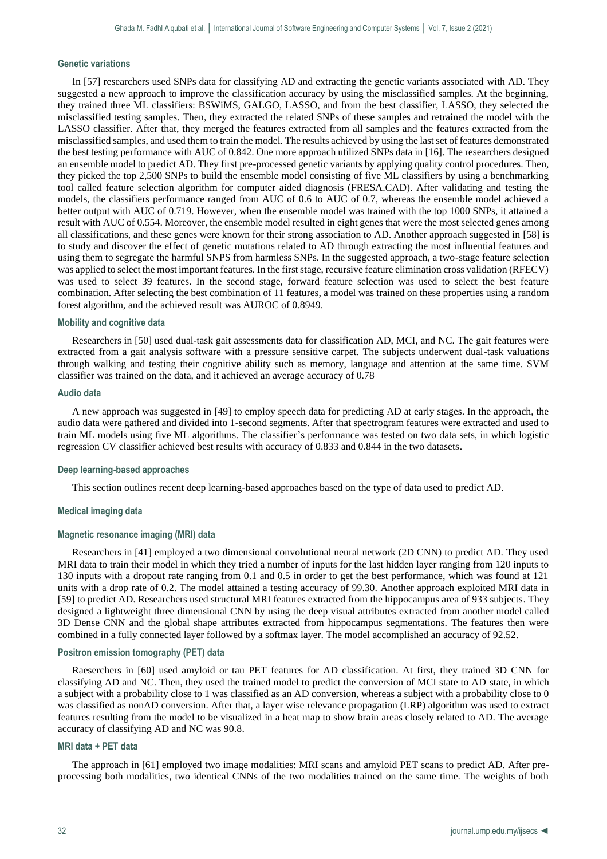#### **Genetic variations**

In [57] researchers used SNPs data for classifying AD and extracting the genetic variants associated with AD. They suggested a new approach to improve the classification accuracy by using the misclassified samples. At the beginning, they trained three ML classifiers: BSWiMS, GALGO, LASSO, and from the best classifier, LASSO, they selected the misclassified testing samples. Then, they extracted the related SNPs of these samples and retrained the model with the LASSO classifier. After that, they merged the features extracted from all samples and the features extracted from the misclassified samples, and used them to train the model. The results achieved by using the last set of features demonstrated the best testing performance with AUC of 0.842. One more approach utilized SNPs data in [16]. The researchers designed an ensemble model to predict AD. They first pre-processed genetic variants by applying quality control procedures. Then, they picked the top 2,500 SNPs to build the ensemble model consisting of five ML classifiers by using a benchmarking tool called feature selection algorithm for computer aided diagnosis (FRESA.CAD). After validating and testing the models, the classifiers performance ranged from AUC of 0.6 to AUC of 0.7, whereas the ensemble model achieved a better output with AUC of 0.719. However, when the ensemble model was trained with the top 1000 SNPs, it attained a result with AUC of 0.554. Moreover, the ensemble model resulted in eight genes that were the most selected genes among all classifications, and these genes were known for their strong association to AD. Another approach suggested in [58] is to study and discover the effect of genetic mutations related to AD through extracting the most influential features and using them to segregate the harmful SNPS from harmless SNPs. In the suggested approach, a two-stage feature selection was applied to select the most important features. In the first stage, recursive feature elimination cross validation (RFECV) was used to select 39 features. In the second stage, forward feature selection was used to select the best feature combination. After selecting the best combination of 11 features, a model was trained on these properties using a random forest algorithm, and the achieved result was AUROC of 0.8949.

#### **Mobility and cognitive data**

Researchers in [50] used dual-task gait assessments data for classification AD, MCI, and NC. The gait features were extracted from a gait analysis software with a pressure sensitive carpet. The subjects underwent dual-task valuations through walking and testing their cognitive ability such as memory, language and attention at the same time. SVM classifier was trained on the data, and it achieved an average accuracy of 0.78

## **Audio data**

A new approach was suggested in [49] to employ speech data for predicting AD at early stages. In the approach, the audio data were gathered and divided into 1-second segments. After that spectrogram features were extracted and used to train ML models using five ML algorithms. The classifier's performance was tested on two data sets, in which logistic regression CV classifier achieved best results with accuracy of 0.833 and 0.844 in the two datasets.

#### **Deep learning-based approaches**

This section outlines recent deep learning-based approaches based on the type of data used to predict AD.

#### **Medical imaging data**

#### **Magnetic resonance imaging (MRI) data**

Researchers in [41] employed a two dimensional convolutional neural network (2D CNN) to predict AD. They used MRI data to train their model in which they tried a number of inputs for the last hidden layer ranging from 120 inputs to 130 inputs with a dropout rate ranging from 0.1 and 0.5 in order to get the best performance, which was found at 121 units with a drop rate of 0.2. The model attained a testing accuracy of 99.30. Another approach exploited MRI data in [59] to predict AD. Researchers used structural MRI features extracted from the hippocampus area of 933 subjects. They designed a lightweight three dimensional CNN by using the deep visual attributes extracted from another model called 3D Dense CNN and the global shape attributes extracted from hippocampus segmentations. The features then were combined in a fully connected layer followed by a softmax layer. The model accomplished an accuracy of 92.52.

#### **Positron emission tomography (PET) data**

Raeserchers in [60] used amyloid or tau PET features for AD classification. At first, they trained 3D CNN for classifying AD and NC. Then, they used the trained model to predict the conversion of MCI state to AD state, in which a subject with a probability close to 1 was classified as an AD conversion, whereas a subject with a probability close to 0 was classified as nonAD conversion. After that, a layer wise relevance propagation (LRP) algorithm was used to extract features resulting from the model to be visualized in a heat map to show brain areas closely related to AD. The average accuracy of classifying AD and NC was 90.8.

### **MRI data + PET data**

The approach in [61] employed two image modalities: MRI scans and amyloid PET scans to predict AD. After preprocessing both modalities, two identical CNNs of the two modalities trained on the same time. The weights of both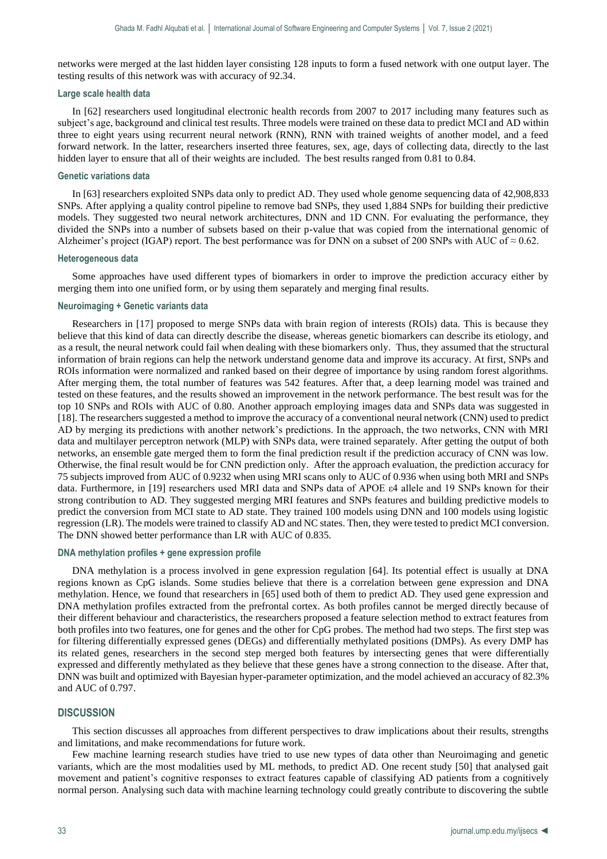networks were merged at the last hidden layer consisting 128 inputs to form a fused network with one output layer. The testing results of this network was with accuracy of 92.34.

#### **Large scale health data**

In [62] researchers used longitudinal electronic health records from 2007 to 2017 including many features such as subject's age, background and clinical test results. Three models were trained on these data to predict MCI and AD within three to eight years using recurrent neural network (RNN), RNN with trained weights of another model, and a feed forward network. In the latter, researchers inserted three features, sex, age, days of collecting data, directly to the last hidden layer to ensure that all of their weights are included. The best results ranged from 0.81 to 0.84.

#### **Genetic variations data**

In [63] researchers exploited SNPs data only to predict AD. They used whole genome sequencing data of 42,908,833 SNPs. After applying a quality control pipeline to remove bad SNPs, they used 1,884 SNPs for building their predictive models. They suggested two neural network architectures, DNN and 1D CNN. For evaluating the performance, they divided the SNPs into a number of subsets based on their p-value that was copied from the international genomic of Alzheimer's project (IGAP) report. The best performance was for DNN on a subset of 200 SNPs with AUC of  $\approx 0.62$ .

# **Heterogeneous data**

Some approaches have used different types of biomarkers in order to improve the prediction accuracy either by merging them into one unified form, or by using them separately and merging final results.

# **Neuroimaging + Genetic variants data**

Researchers in [17] proposed to merge SNPs data with brain region of interests (ROIs) data. This is because they believe that this kind of data can directly describe the disease, whereas genetic biomarkers can describe its etiology, and as a result, the neural network could fail when dealing with these biomarkers only. Thus, they assumed that the structural information of brain regions can help the network understand genome data and improve its accuracy. At first, SNPs and ROIs information were normalized and ranked based on their degree of importance by using random forest algorithms. After merging them, the total number of features was 542 features. After that, a deep learning model was trained and tested on these features, and the results showed an improvement in the network performance. The best result was for the top 10 SNPs and ROIs with AUC of 0.80. Another approach employing images data and SNPs data was suggested in [18]. The researchers suggested a method to improve the accuracy of a conventional neural network (CNN) used to predict AD by merging its predictions with another network's predictions. In the approach, the two networks, CNN with MRI data and multilayer perceptron network (MLP) with SNPs data, were trained separately. After getting the output of both networks, an ensemble gate merged them to form the final prediction result if the prediction accuracy of CNN was low. Otherwise, the final result would be for CNN prediction only. After the approach evaluation, the prediction accuracy for 75 subjects improved from AUC of 0.9232 when using MRI scans only to AUC of 0.936 when using both MRI and SNPs data. Furthermore, in [19] researchers used MRI data and SNPs data of APOE ε4 allele and 19 SNPs known for their strong contribution to AD. They suggested merging MRI features and SNPs features and building predictive models to predict the conversion from MCI state to AD state. They trained 100 models using DNN and 100 models using logistic regression (LR). The models were trained to classify AD and NC states. Then, they were tested to predict MCI conversion. The DNN showed better performance than LR with AUC of 0.835.

#### **DNA methylation profiles + gene expression profile**

DNA methylation is a process involved in gene expression regulation [64]. Its potential effect is usually at DNA regions known as CpG islands. Some studies believe that there is a correlation between gene expression and DNA methylation. Hence, we found that researchers in [65] used both of them to predict AD. They used gene expression and DNA methylation profiles extracted from the prefrontal cortex. As both profiles cannot be merged directly because of their different behaviour and characteristics, the researchers proposed a feature selection method to extract features from both profiles into two features, one for genes and the other for CpG probes. The method had two steps. The first step was for filtering differentially expressed genes (DEGs) and differentially methylated positions (DMPs). As every DMP has its related genes, researchers in the second step merged both features by intersecting genes that were differentially expressed and differently methylated as they believe that these genes have a strong connection to the disease. After that, DNN was built and optimized with Bayesian hyper-parameter optimization, and the model achieved an accuracy of 82.3% and AUC of 0.797.

## **DISCUSSION**

This section discusses all approaches from different perspectives to draw implications about their results, strengths and limitations, and make recommendations for future work.

Few machine learning research studies have tried to use new types of data other than Neuroimaging and genetic variants, which are the most modalities used by ML methods, to predict AD. One recent study [50] that analysed gait movement and patient's cognitive responses to extract features capable of classifying AD patients from a cognitively normal person. Analysing such data with machine learning technology could greatly contribute to discovering the subtle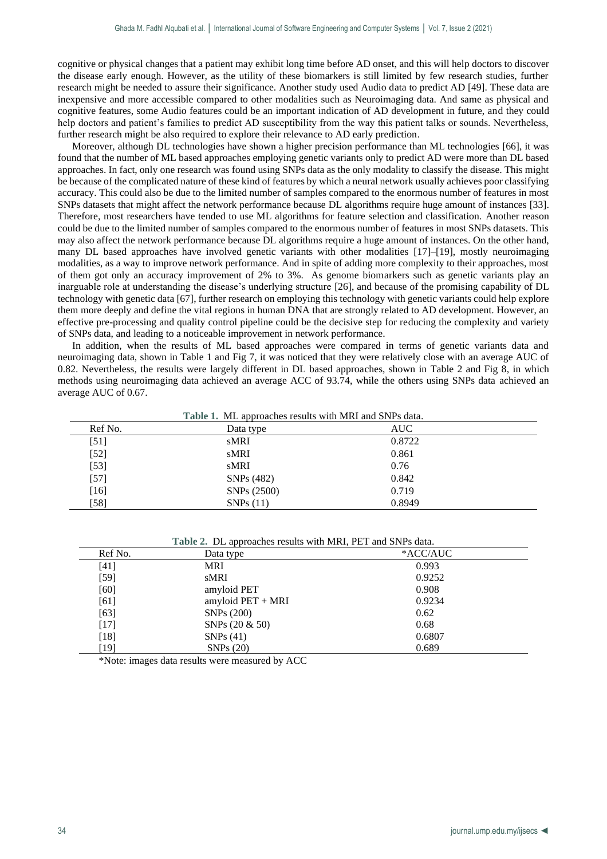cognitive or physical changes that a patient may exhibit long time before AD onset, and this will help doctors to discover the disease early enough. However, as the utility of these biomarkers is still limited by few research studies, further research might be needed to assure their significance. Another study used Audio data to predict AD [49]. These data are inexpensive and more accessible compared to other modalities such as Neuroimaging data. And same as physical and cognitive features, some Audio features could be an important indication of AD development in future, and they could help doctors and patient's families to predict AD susceptibility from the way this patient talks or sounds. Nevertheless, further research might be also required to explore their relevance to AD early prediction.

Moreover, although DL technologies have shown a higher precision performance than ML technologies [66], it was found that the number of ML based approaches employing genetic variants only to predict AD were more than DL based approaches. In fact, only one research was found using SNPs data as the only modality to classify the disease. This might be because of the complicated nature of these kind of features by which a neural network usually achieves poor classifying accuracy. This could also be due to the limited number of samples compared to the enormous number of features in most SNPs datasets that might affect the network performance because DL algorithms require huge amount of instances [33]. Therefore, most researchers have tended to use ML algorithms for feature selection and classification. Another reason could be due to the limited number of samples compared to the enormous number of features in most SNPs datasets. This may also affect the network performance because DL algorithms require a huge amount of instances. On the other hand, many DL based approaches have involved genetic variants with other modalities [17]–[19], mostly neuroimaging modalities, as a way to improve network performance. And in spite of adding more complexity to their approaches, most of them got only an accuracy improvement of 2% to 3%. As genome biomarkers such as genetic variants play an inarguable role at understanding the disease's underlying structure [26], and because of the promising capability of DL technology with genetic data [67], further research on employing this technology with genetic variants could help explore them more deeply and define the vital regions in human DNA that are strongly related to AD development. However, an effective pre-processing and quality control pipeline could be the decisive step for reducing the complexity and variety of SNPs data, and leading to a noticeable improvement in network performance.

In addition, when the results of ML based approaches were compared in terms of genetic variants data and neuroimaging data, shown in Table 1 and Fig 7, it was noticed that they were relatively close with an average AUC of 0.82. Nevertheless, the results were largely different in DL based approaches, shown in Table 2 and Fig 8, in which methods using neuroimaging data achieved an average ACC of 93.74, while the others using SNPs data achieved an average AUC of 0.67.

| Table 1. ML approaches results with MRI and SNPs data. |                         |        |  |  |  |  |  |  |
|--------------------------------------------------------|-------------------------|--------|--|--|--|--|--|--|
| Ref No.                                                | Data type               | AUC    |  |  |  |  |  |  |
| [51]                                                   | sMRI                    | 0.8722 |  |  |  |  |  |  |
| $[52]$                                                 | sMRI                    | 0.861  |  |  |  |  |  |  |
| $[53]$                                                 | sMRI                    | 0.76   |  |  |  |  |  |  |
| $[57]$                                                 | SNP <sub>s</sub> (482)  | 0.842  |  |  |  |  |  |  |
| $[16]$                                                 | SNP <sub>s</sub> (2500) | 0.719  |  |  |  |  |  |  |
| $[58]$                                                 | SNPs(11)                | 0.8949 |  |  |  |  |  |  |

|         | .                   |          |  |
|---------|---------------------|----------|--|
| Ref No. | Data type           | *ACC/AUC |  |
| [41]    | MRI                 | 0.993    |  |
| [59]    | sMRI                | 0.9252   |  |
| [60]    | amyloid PET         | 0.908    |  |
| [61]    | amyloid $PET + MRI$ | 0.9234   |  |
| [63]    | SNPs (200)          | 0.62     |  |
| $[17]$  | SNPs $(20 \& 50)$   | 0.68     |  |
| $[18]$  | SNPs(41)            | 0.6807   |  |
| [19]    | SNPs(20)            | 0.689    |  |

**Table 2.** DL approaches results with MRI, PET and SNPs data.

\*Note: images data results were measured by ACC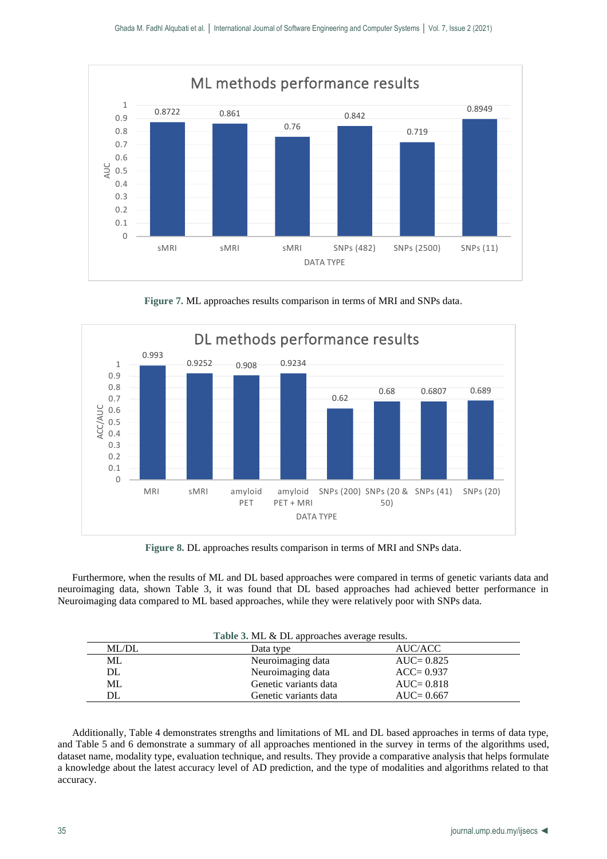

**Figure 7.** ML approaches results comparison in terms of MRI and SNPs data.



**Figure 8.** DL approaches results comparison in terms of MRI and SNPs data.

Furthermore, when the results of ML and DL based approaches were compared in terms of genetic variants data and neuroimaging data, shown Table 3, it was found that DL based approaches had achieved better performance in Neuroimaging data compared to ML based approaches, while they were relatively poor with SNPs data.

| Table 3. ML & DL approaches average results. |                       |               |  |  |  |  |  |  |
|----------------------------------------------|-----------------------|---------------|--|--|--|--|--|--|
| ML/DL                                        | Data type             | AUC/ACC       |  |  |  |  |  |  |
| ML                                           | Neuroimaging data     | $AUC = 0.825$ |  |  |  |  |  |  |
| DL                                           | Neuroimaging data     | $ACC = 0.937$ |  |  |  |  |  |  |
| ML                                           | Genetic variants data | $AUC = 0.818$ |  |  |  |  |  |  |
| DL                                           | Genetic variants data | $AUC = 0.667$ |  |  |  |  |  |  |

Additionally, Table 4 demonstrates strengths and limitations of ML and DL based approaches in terms of data type, and Table 5 and 6 demonstrate a summary of all approaches mentioned in the survey in terms of the algorithms used, dataset name, modality type, evaluation technique, and results. They provide a comparative analysis that helps formulate a knowledge about the latest accuracy level of AD prediction, and the type of modalities and algorithms related to that accuracy.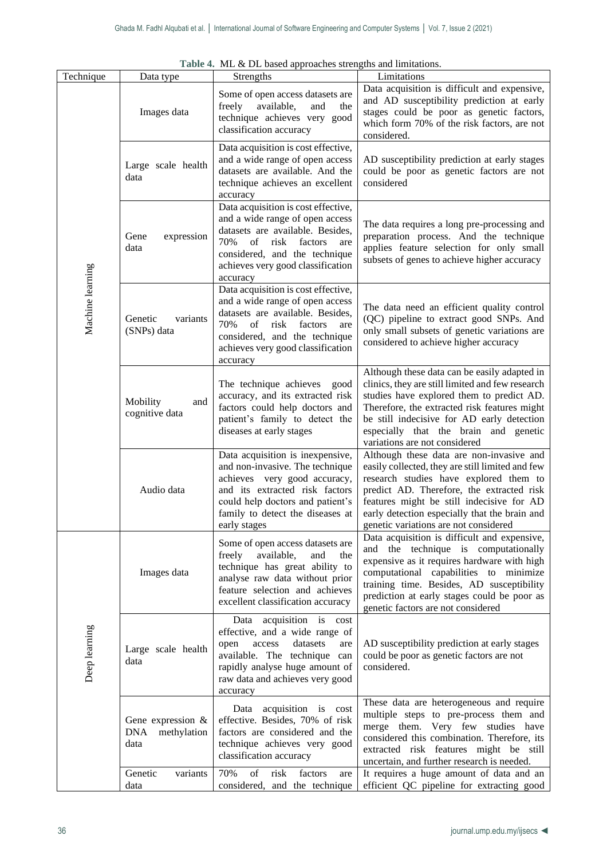|                  |                                                           | Table 4. ML & DL based approaches strengths and limitations.                                                                                                                                                                        |                                                                                                                                                                                                                                                                                                                            |
|------------------|-----------------------------------------------------------|-------------------------------------------------------------------------------------------------------------------------------------------------------------------------------------------------------------------------------------|----------------------------------------------------------------------------------------------------------------------------------------------------------------------------------------------------------------------------------------------------------------------------------------------------------------------------|
| Technique        | Data type                                                 | Strengths                                                                                                                                                                                                                           | Limitations                                                                                                                                                                                                                                                                                                                |
|                  | Images data                                               | Some of open access datasets are<br>freely<br>available,<br>and<br>the<br>technique achieves very good<br>classification accuracy                                                                                                   | Data acquisition is difficult and expensive,<br>and AD susceptibility prediction at early<br>stages could be poor as genetic factors,<br>which form 70% of the risk factors, are not<br>considered.                                                                                                                        |
|                  | Large scale health<br>data                                | Data acquisition is cost effective,<br>and a wide range of open access<br>datasets are available. And the<br>technique achieves an excellent<br>accuracy                                                                            | AD susceptibility prediction at early stages<br>could be poor as genetic factors are not<br>considered                                                                                                                                                                                                                     |
|                  | expression<br>Gene<br>data                                | Data acquisition is cost effective,<br>and a wide range of open access<br>datasets are available. Besides,<br>70%<br>of risk<br>factors<br>are<br>considered, and the technique<br>achieves very good classification<br>accuracy    | The data requires a long pre-processing and<br>preparation process. And the technique<br>applies feature selection for only small<br>subsets of genes to achieve higher accuracy                                                                                                                                           |
| Machine learning | Genetic<br>variants<br>(SNPs) data                        | Data acquisition is cost effective,<br>and a wide range of open access<br>datasets are available. Besides,<br>70%<br>of<br>risk<br>factors<br>are<br>considered, and the technique<br>achieves very good classification<br>accuracy | The data need an efficient quality control<br>(QC) pipeline to extract good SNPs. And<br>only small subsets of genetic variations are<br>considered to achieve higher accuracy                                                                                                                                             |
|                  | Mobility<br>and<br>cognitive data                         | The technique achieves<br>good<br>accuracy, and its extracted risk<br>factors could help doctors and<br>patient's family to detect the<br>diseases at early stages                                                                  | Although these data can be easily adapted in<br>clinics, they are still limited and few research<br>studies have explored them to predict AD.<br>Therefore, the extracted risk features might<br>be still indecisive for AD early detection<br>especially that the brain and genetic<br>variations are not considered      |
|                  | Audio data                                                | Data acquisition is inexpensive,<br>and non-invasive. The technique<br>achieves very good accuracy,<br>and its extracted risk factors<br>could help doctors and patient's<br>family to detect the diseases at<br>early stages       | Although these data are non-invasive and<br>easily collected, they are still limited and few<br>research studies have explored them to<br>predict AD. Therefore, the extracted risk<br>features might be still indecisive for AD<br>early detection especially that the brain and<br>genetic variations are not considered |
|                  | Images data                                               | Some of open access datasets are<br>available,<br>freely<br>and<br>the<br>technique has great ability to<br>analyse raw data without prior<br>feature selection and achieves<br>excellent classification accuracy                   | Data acquisition is difficult and expensive,<br>and the technique is computationally<br>expensive as it requires hardware with high<br>computational capabilities to minimize<br>training time. Besides, AD susceptibility<br>prediction at early stages could be poor as<br>genetic factors are not considered            |
| Deep learning    | Large scale health<br>data                                | Data acquisition is cost<br>effective, and a wide range of<br>datasets<br>access<br>open<br>are<br>available. The technique can<br>rapidly analyse huge amount of<br>raw data and achieves very good<br>accuracy                    | AD susceptibility prediction at early stages<br>could be poor as genetic factors are not<br>considered.                                                                                                                                                                                                                    |
|                  | Gene expression $\&$<br><b>DNA</b><br>methylation<br>data | Data acquisition is cost<br>effective. Besides, 70% of risk<br>factors are considered and the<br>technique achieves very good<br>classification accuracy                                                                            | These data are heterogeneous and require<br>multiple steps to pre-process them and<br>merge them. Very few studies have<br>considered this combination. Therefore, its<br>extracted risk features might be still<br>uncertain, and further research is needed.                                                             |
|                  | Genetic<br>variants<br>data                               | of<br>70%<br>risk<br>factors<br>are<br>considered, and the technique                                                                                                                                                                | It requires a huge amount of data and an<br>efficient QC pipeline for extracting good                                                                                                                                                                                                                                      |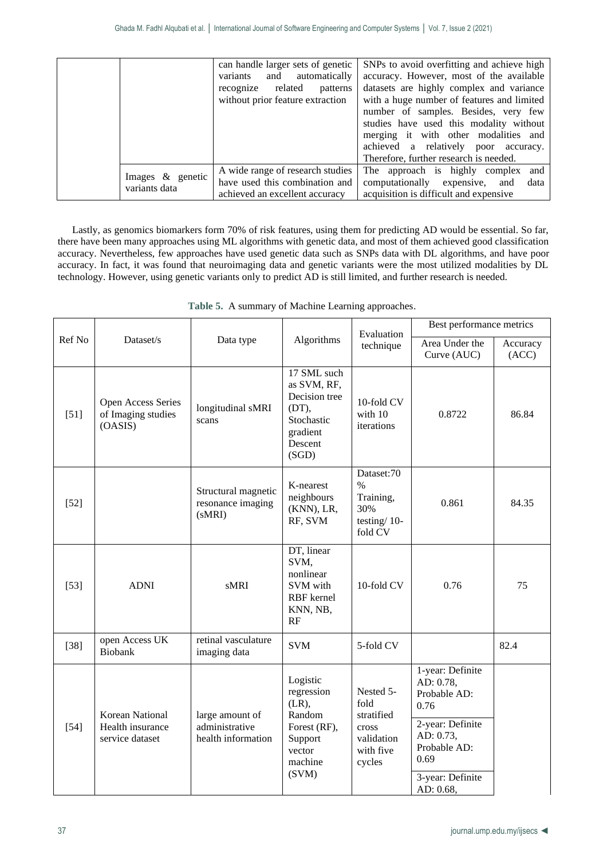|                                      | can handle larger sets of genetic<br>variants and automatically<br>recognize related<br>patterns<br>without prior feature extraction | SNPs to avoid overfitting and achieve high<br>accuracy. However, most of the available<br>datasets are highly complex and variance<br>with a huge number of features and limited<br>number of samples. Besides, very few<br>studies have used this modality without<br>merging it with other modalities and<br>achieved a relatively poor accuracy.<br>Therefore, further research is needed. |
|--------------------------------------|--------------------------------------------------------------------------------------------------------------------------------------|-----------------------------------------------------------------------------------------------------------------------------------------------------------------------------------------------------------------------------------------------------------------------------------------------------------------------------------------------------------------------------------------------|
| Images $\&$ genetic<br>variants data | A wide range of research studies<br>have used this combination and<br>achieved an excellent accuracy                                 | The approach is highly complex and<br>computationally expensive, and<br>data<br>acquisition is difficult and expensive                                                                                                                                                                                                                                                                        |

Lastly, as genomics biomarkers form 70% of risk features, using them for predicting AD would be essential. So far, there have been many approaches using ML algorithms with genetic data, and most of them achieved good classification accuracy. Nevertheless, few approaches have used genetic data such as SNPs data with DL algorithms, and have poor accuracy. In fact, it was found that neuroimaging data and genetic variants were the most utilized modalities by DL technology. However, using genetic variants only to predict AD is still limited, and further research is needed.

|        |                                                        |                                                         |                                                                                                       | Evaluation                                                                    | Best performance metrics                                                                                                                        |                   |  |
|--------|--------------------------------------------------------|---------------------------------------------------------|-------------------------------------------------------------------------------------------------------|-------------------------------------------------------------------------------|-------------------------------------------------------------------------------------------------------------------------------------------------|-------------------|--|
| Ref No | Dataset/s                                              | Data type                                               | Algorithms                                                                                            | technique                                                                     | Area Under the<br>Curve (AUC)                                                                                                                   | Accuracy<br>(ACC) |  |
| $[51]$ | Open Access Series<br>of Imaging studies<br>(OASIS)    | longitudinal sMRI<br>scans                              | 17 SML such<br>as SVM, RF,<br>Decision tree<br>(DT),<br>Stochastic<br>gradient<br>Descent<br>(SGD)    | 10-fold CV<br>with 10<br>iterations                                           | 0.8722                                                                                                                                          | 86.84             |  |
| $[52]$ |                                                        | Structural magnetic<br>resonance imaging<br>(sMRI)      | K-nearest<br>neighbours<br>(KNN), LR,<br>RF, SVM                                                      | Dataset:70<br>$\frac{0}{0}$<br>Training,<br>30%<br>testing/ $10$ -<br>fold CV | 0.861                                                                                                                                           | 84.35             |  |
| $[53]$ | <b>ADNI</b>                                            | sMRI                                                    | DT, linear<br>SVM,<br>nonlinear<br>SVM with<br>RBF kernel<br>KNN, NB,<br>RF                           | 10-fold CV                                                                    | 0.76                                                                                                                                            | 75                |  |
| $[38]$ | open Access UK<br><b>Biobank</b>                       | retinal vasculature<br>imaging data                     | <b>SVM</b>                                                                                            | 5-fold CV                                                                     |                                                                                                                                                 | 82.4              |  |
| $[54]$ | Korean National<br>Health insurance<br>service dataset | large amount of<br>administrative<br>health information | Logistic<br>regression<br>$(LR)$ ,<br>Random<br>Forest (RF),<br>Support<br>vector<br>machine<br>(SVM) | Nested 5-<br>fold<br>stratified<br>cross<br>validation<br>with five<br>cycles | 1-year: Definite<br>AD: 0.78,<br>Probable AD:<br>0.76<br>2-year: Definite<br>AD: 0.73,<br>Probable AD:<br>0.69<br>3-year: Definite<br>AD: 0.68, |                   |  |

**Table 5.** A summary of Machine Learning approaches.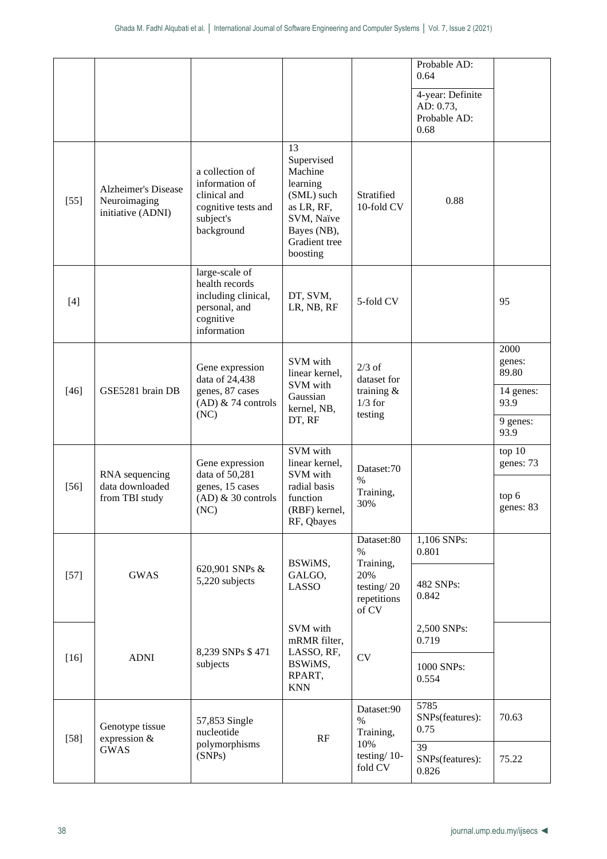|        |                                                                 |                                                                                                      |                                                                                                                               |                                                                              | Probable AD:<br>0.64                                  |                                                                  |
|--------|-----------------------------------------------------------------|------------------------------------------------------------------------------------------------------|-------------------------------------------------------------------------------------------------------------------------------|------------------------------------------------------------------------------|-------------------------------------------------------|------------------------------------------------------------------|
|        |                                                                 |                                                                                                      |                                                                                                                               |                                                                              | 4-year: Definite<br>AD: 0.73,<br>Probable AD:<br>0.68 |                                                                  |
| $[55]$ | <b>Alzheimer's Disease</b><br>Neuroimaging<br>initiative (ADNI) | a collection of<br>information of<br>clinical and<br>cognitive tests and<br>subject's<br>background  | 13<br>Supervised<br>Machine<br>learning<br>(SML) such<br>as LR, RF,<br>SVM, Naïve<br>Bayes (NB),<br>Gradient tree<br>boosting | Stratified<br>10-fold CV                                                     | 0.88                                                  |                                                                  |
| $[4]$  |                                                                 | large-scale of<br>health records<br>including clinical,<br>personal, and<br>cognitive<br>information | DT, SVM,<br>LR, NB, RF                                                                                                        | 5-fold CV                                                                    |                                                       | 95                                                               |
| $[46]$ | GSE5281 brain DB                                                | Gene expression<br>data of 24,438<br>genes, 87 cases<br>$(AD)$ & 74 controls<br>(NC)                 | SVM with<br>linear kernel,<br>SVM with<br>Gaussian<br>kernel, NB,<br>DT, RF                                                   | $2/3$ of<br>dataset for<br>training $\&$<br>$1/3$ for<br>testing             |                                                       | 2000<br>genes:<br>89.80<br>14 genes:<br>93.9<br>9 genes:<br>93.9 |
| $[56]$ | RNA sequencing<br>data downloaded<br>from TBI study             | Gene expression<br>data of 50,281<br>genes, 15 cases<br>$(AD)$ & 30 controls<br>(NC)                 | SVM with<br>linear kernel,<br>SVM with<br>radial basis<br>function<br>(RBF) kernel,<br>RF, Qbayes                             | Dataset:70<br>$\%$<br>Training,<br>30%                                       |                                                       | top 10<br>genes: 73<br>top 6<br>genes: 83                        |
| $[57]$ | <b>GWAS</b>                                                     | 620,901 SNPs &<br>5,220 subjects                                                                     | BSWiMS,<br>GALGO,<br><b>LASSO</b>                                                                                             | Dataset:80<br>$\%$<br>Training,<br>20%<br>testing/20<br>repetitions<br>of CV | 1,106 SNPs:<br>0.801<br>482 SNPs:<br>0.842            |                                                                  |
| $[16]$ | <b>ADNI</b>                                                     | 8,239 SNPs \$471<br>subjects                                                                         | SVM with<br>mRMR filter,<br>LASSO, RF,<br>BSWiMS,<br>RPART,<br><b>KNN</b>                                                     | <b>CV</b>                                                                    | 2,500 SNPs:<br>0.719<br>1000 SNPs:<br>0.554           |                                                                  |
| $[58]$ | Genotype tissue<br>expression &<br><b>GWAS</b>                  | 57,853 Single<br>nucleotide<br>polymorphisms                                                         | RF                                                                                                                            | Dataset:90<br>$\%$<br>Training,<br>10%                                       | 5785<br>SNPs(features):<br>0.75<br>39                 | 70.63                                                            |
|        |                                                                 | (SNPs)                                                                                               |                                                                                                                               | testing/ $10$ -<br>fold CV                                                   | SNPs(features):<br>0.826                              | 75.22                                                            |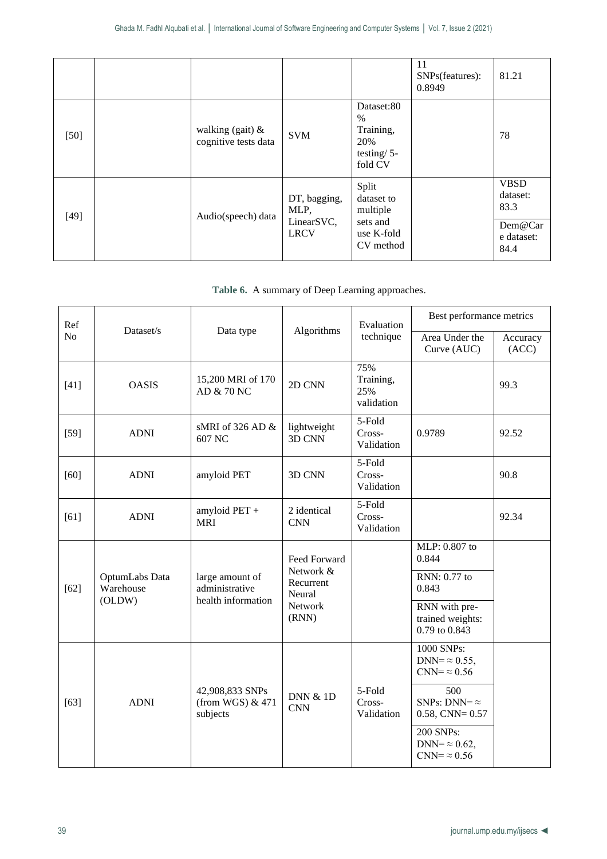|        |                                             |                                                   |                                                                        | 11<br>SNPs(features):<br>0.8949 | 81.21                                                            |
|--------|---------------------------------------------|---------------------------------------------------|------------------------------------------------------------------------|---------------------------------|------------------------------------------------------------------|
| $[50]$ | walking (gait) $\&$<br>cognitive tests data | <b>SVM</b>                                        | Dataset:80<br>$\%$<br>Training,<br>20%<br>testing/ $5-$<br>fold CV     |                                 | 78                                                               |
| $[49]$ | Audio(speech) data                          | DT, bagging,<br>MLP,<br>LinearSVC,<br><b>LRCV</b> | Split<br>dataset to<br>multiple<br>sets and<br>use K-fold<br>CV method |                                 | <b>VBSD</b><br>dataset:<br>83.3<br>Dem@Car<br>e dataset:<br>84.4 |

**Table 6.** A summary of Deep Learning approaches.

| Ref            |                                       |                                                         |                                   | Evaluation                            | Best performance metrics                                    |                   |  |
|----------------|---------------------------------------|---------------------------------------------------------|-----------------------------------|---------------------------------------|-------------------------------------------------------------|-------------------|--|
| N <sub>o</sub> | Dataset/s                             | Data type                                               | Algorithms                        | technique                             | Area Under the<br>Curve (AUC)                               | Accuracy<br>(ACC) |  |
| $[41]$         | <b>OASIS</b>                          | 15,200 MRI of 170<br>AD & 70 NC                         | 2D CNN                            | 75%<br>Training,<br>25%<br>validation |                                                             | 99.3              |  |
| $[59]$         | <b>ADNI</b>                           | sMRI of 326 AD $&$<br>607 NC                            | lightweight<br>3D CNN             | 5-Fold<br>Cross-<br>Validation        | 0.9789                                                      | 92.52             |  |
| $[60]$         | <b>ADNI</b>                           | amyloid PET                                             | 3D CNN                            | 5-Fold<br>Cross-<br>Validation        |                                                             | 90.8              |  |
| [61]           | <b>ADNI</b>                           | amyloid $PET +$<br><b>MRI</b>                           | 2 identical<br><b>CNN</b>         | 5-Fold<br>Cross-<br>Validation        |                                                             | 92.34             |  |
|                |                                       |                                                         | Feed Forward                      |                                       | MLP: 0.807 to<br>0.844                                      |                   |  |
| $[62]$         | OptumLabs Data<br>Warehouse<br>(OLDW) | large amount of<br>administrative<br>health information | Network &<br>Recurrent<br>Neural  |                                       | RNN: 0.77 to<br>0.843                                       |                   |  |
|                |                                       |                                                         | Network<br>(RNN)                  |                                       | RNN with pre-<br>trained weights:<br>0.79 to 0.843          |                   |  |
|                |                                       |                                                         |                                   |                                       | 1000 SNPs:<br>DNN= $\approx 0.55$ ,<br>$CNN = \approx 0.56$ |                   |  |
| $[63]$         | <b>ADNI</b>                           | 42,908,833 SNPs<br>(from WGS) $& 471$<br>subjects       | <b>DNN &amp; 1D</b><br><b>CNN</b> | 5-Fold<br>Cross-<br>Validation        | 500<br>SNPs: DNN= $\approx$<br>$0.58$ , CNN= $0.57$         |                   |  |
|                |                                       |                                                         |                                   |                                       | 200 SNPs:<br>$DNN = \approx 0.62$ ,<br>$CNN = \approx 0.56$ |                   |  |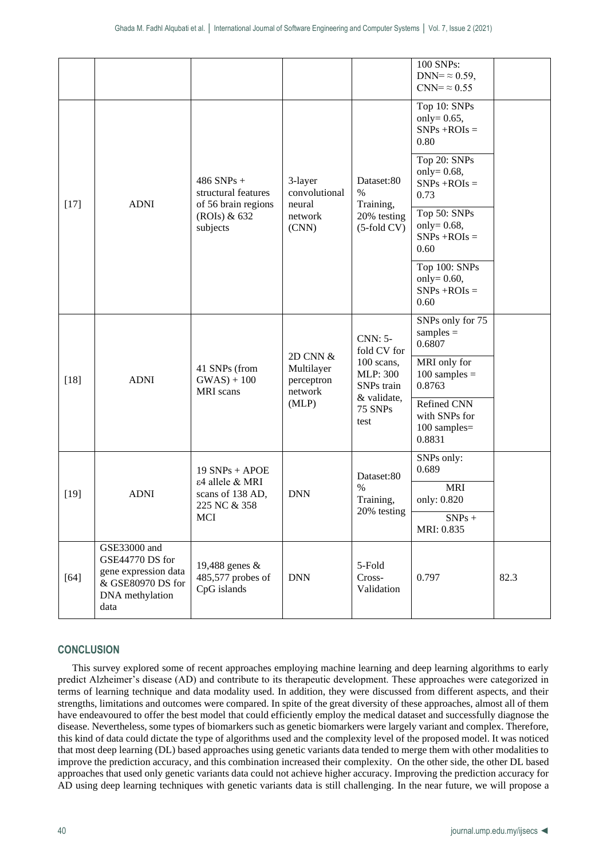|        |                                                                                                         |                                                            |                                                          |                                                                               | 100 SNPs:<br>DNN= $\approx 0.59$ ,<br>$CNN = \approx 0.55$ |      |
|--------|---------------------------------------------------------------------------------------------------------|------------------------------------------------------------|----------------------------------------------------------|-------------------------------------------------------------------------------|------------------------------------------------------------|------|
|        |                                                                                                         |                                                            |                                                          |                                                                               | Top 10: SNPs<br>only= $0.65$ ,<br>$SNPs + ROIs =$<br>0.80  |      |
| $[17]$ |                                                                                                         | $486$ SNPs +<br>structural features<br>of 56 brain regions | 3-layer<br>convolutional<br>neural<br>network<br>(CNN)   | Dataset:80<br>$\%$<br>Training,<br>20% testing<br>$(5$ -fold CV $)$           | Top 20: SNPs<br>only= $0.68$ ,<br>$SNPs + ROIs =$<br>0.73  |      |
|        | <b>ADNI</b>                                                                                             | (ROIs) & 632<br>subjects                                   |                                                          |                                                                               | Top 50: SNPs<br>only= $0.68$ ,<br>$SNPs + ROIs =$<br>0.60  |      |
|        |                                                                                                         |                                                            |                                                          |                                                                               | Top 100: SNPs<br>only= $0.60$ ,<br>$SNPs + ROIs =$<br>0.60 |      |
|        | <b>ADNI</b>                                                                                             |                                                            |                                                          | <b>CNN: 5-</b><br>fold CV for                                                 | SNPs only for 75<br>$samples =$<br>0.6807                  |      |
| $[18]$ |                                                                                                         | 41 SNPs (from<br>$GWAS + 100$<br><b>MRI</b> scans          | 2D CNN &<br>Multilayer<br>perceptron<br>network<br>(MLP) | 100 scans,<br><b>MLP: 300</b><br>SNPs train<br>& validate,<br>75 SNPs<br>test | MRI only for<br>$100$ samples =<br>0.8763                  |      |
|        |                                                                                                         |                                                            |                                                          |                                                                               | Refined CNN<br>with SNPs for<br>100 samples=<br>0.8831     |      |
|        |                                                                                                         | $19$ SNPs + APOE<br>ε4 allele & MRI                        |                                                          | Dataset:80                                                                    | SNPs only:<br>0.689                                        |      |
| $[19]$ | <b>ADNI</b>                                                                                             | scans of 138 AD,<br>225 NC & 358                           | <b>DNN</b>                                               | $\%$<br>Training,                                                             | <b>MRI</b><br>only: 0.820                                  |      |
|        |                                                                                                         | <b>MCI</b>                                                 |                                                          | 20% testing                                                                   | $SNPs +$<br>MRI: 0.835                                     |      |
| $[64]$ | GSE33000 and<br>GSE44770 DS for<br>gene expression data<br>& GSE80970 DS for<br>DNA methylation<br>data | 19,488 genes &<br>485,577 probes of<br>CpG islands         | <b>DNN</b>                                               | 5-Fold<br>Cross-<br>Validation                                                | 0.797                                                      | 82.3 |

# **CONCLUSION**

This survey explored some of recent approaches employing machine learning and deep learning algorithms to early predict Alzheimer's disease (AD) and contribute to its therapeutic development. These approaches were categorized in terms of learning technique and data modality used. In addition, they were discussed from different aspects, and their strengths, limitations and outcomes were compared. In spite of the great diversity of these approaches, almost all of them have endeavoured to offer the best model that could efficiently employ the medical dataset and successfully diagnose the disease. Nevertheless, some types of biomarkers such as genetic biomarkers were largely variant and complex. Therefore, this kind of data could dictate the type of algorithms used and the complexity level of the proposed model. It was noticed that most deep learning (DL) based approaches using genetic variants data tended to merge them with other modalities to improve the prediction accuracy, and this combination increased their complexity. On the other side, the other DL based approaches that used only genetic variants data could not achieve higher accuracy. Improving the prediction accuracy for AD using deep learning techniques with genetic variants data is still challenging. In the near future, we will propose a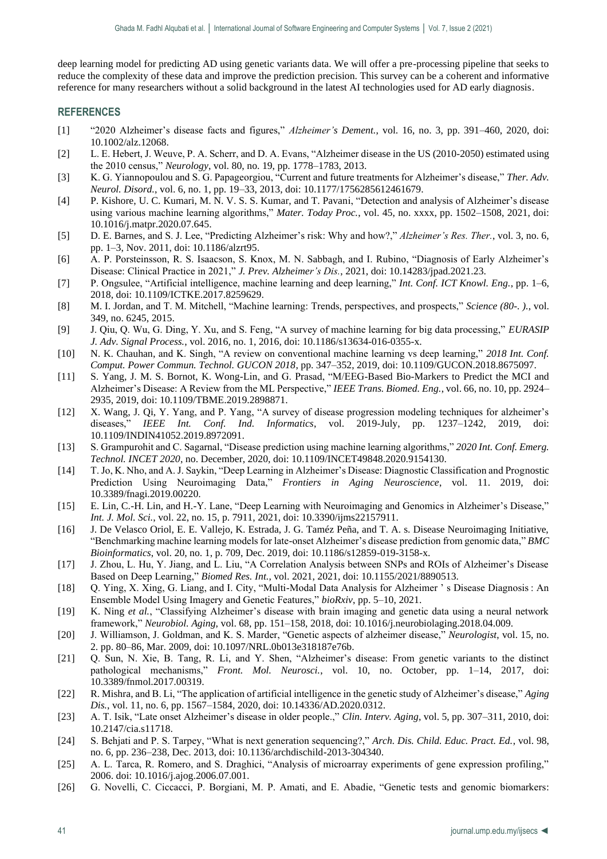deep learning model for predicting AD using genetic variants data. We will offer a pre-processing pipeline that seeks to reduce the complexity of these data and improve the prediction precision. This survey can be a coherent and informative reference for many researchers without a solid background in the latest AI technologies used for AD early diagnosis.

# **REFERENCES**

- [1] "2020 Alzheimer's disease facts and figures," *Alzheimer's Dement.*, vol. 16, no. 3, pp. 391–460, 2020, doi: 10.1002/alz.12068.
- [2] L. E. Hebert, J. Weuve, P. A. Scherr, and D. A. Evans, "Alzheimer disease in the US (2010-2050) estimated using the 2010 census," *Neurology*, vol. 80, no. 19, pp. 1778–1783, 2013.
- [3] K. G. Yiannopoulou and S. G. Papageorgiou, "Current and future treatments for Alzheimer's disease," *Ther. Adv. Neurol. Disord.*, vol. 6, no. 1, pp. 19–33, 2013, doi: 10.1177/1756285612461679.
- [4] P. Kishore, U. C. Kumari, M. N. V. S. S. Kumar, and T. Pavani, "Detection and analysis of Alzheimer's disease using various machine learning algorithms," *Mater. Today Proc.*, vol. 45, no. xxxx, pp. 1502–1508, 2021, doi: 10.1016/j.matpr.2020.07.645.
- [5] D. E. Barnes, and S. J. Lee, "Predicting Alzheimer's risk: Why and how?," *Alzheimer's Res. Ther.*, vol. 3, no. 6, pp. 1–3, Nov. 2011, doi: 10.1186/alzrt95.
- [6] A. P. Porsteinsson, R. S. Isaacson, S. Knox, M. N. Sabbagh, and I. Rubino, "Diagnosis of Early Alzheimer's Disease: Clinical Practice in 2021," *J. Prev. Alzheimer's Dis.*, 2021, doi: 10.14283/jpad.2021.23.
- [7] P. Ongsulee, "Artificial intelligence, machine learning and deep learning," *Int. Conf. ICT Knowl. Eng.*, pp. 1–6, 2018, doi: 10.1109/ICTKE.2017.8259629.
- [8] M. I. Jordan, and T. M. Mitchell, "Machine learning: Trends, perspectives, and prospects," *Science (80-. ).*, vol. 349, no. 6245, 2015.
- [9] J. Qiu, Q. Wu, G. Ding, Y. Xu, and S. Feng, "A survey of machine learning for big data processing," *EURASIP J. Adv. Signal Process.*, vol. 2016, no. 1, 2016, doi: 10.1186/s13634-016-0355-x.
- [10] N. K. Chauhan, and K. Singh, "A review on conventional machine learning vs deep learning," *2018 Int. Conf. Comput. Power Commun. Technol. GUCON 2018*, pp. 347–352, 2019, doi: 10.1109/GUCON.2018.8675097.
- [11] S. Yang, J. M. S. Bornot, K. Wong-Lin, and G. Prasad, "M/EEG-Based Bio-Markers to Predict the MCI and Alzheimer's Disease: A Review from the ML Perspective," *IEEE Trans. Biomed. Eng.*, vol. 66, no. 10, pp. 2924– 2935, 2019, doi: 10.1109/TBME.2019.2898871.
- [12] X. Wang, J. Qi, Y. Yang, and P. Yang, "A survey of disease progression modeling techniques for alzheimer's diseases," *IEEE Int. Conf. Ind. Informatics*, vol. 2019-July, pp. 1237–1242, 2019, 10.1109/INDIN41052.2019.8972091.
- [13] S. Grampurohit and C. Sagarnal, "Disease prediction using machine learning algorithms," *2020 Int. Conf. Emerg. Technol. INCET 2020*, no. December, 2020, doi: 10.1109/INCET49848.2020.9154130.
- [14] T. Jo, K. Nho, and A. J. Saykin, "Deep Learning in Alzheimer's Disease: Diagnostic Classification and Prognostic Prediction Using Neuroimaging Data," *Frontiers in Aging Neuroscience*, vol. 11. 2019, doi: 10.3389/fnagi.2019.00220.
- [15] E. Lin, C.-H. Lin, and H.-Y. Lane, "Deep Learning with Neuroimaging and Genomics in Alzheimer's Disease," *Int. J. Mol. Sci.*, vol. 22, no. 15, p. 7911, 2021, doi: 10.3390/ijms22157911.
- [16] J. De Velasco Oriol, E. E. Vallejo, K. Estrada, J. G. Taméz Peña, and T. A. s. Disease Neuroimaging Initiative, "Benchmarking machine learning models for late-onset Alzheimer's disease prediction from genomic data," *BMC Bioinformatics*, vol. 20, no. 1, p. 709, Dec. 2019, doi: 10.1186/s12859-019-3158-x.
- [17] J. Zhou, L. Hu, Y. Jiang, and L. Liu, "A Correlation Analysis between SNPs and ROIs of Alzheimer's Disease Based on Deep Learning," *Biomed Res. Int.*, vol. 2021, 2021, doi: 10.1155/2021/8890513.
- [18] Q. Ying, X. Xing, G. Liang, and I. City, "Multi-Modal Data Analysis for Alzheimer ' s Disease Diagnosis : An Ensemble Model Using Imagery and Genetic Features," *bioRxiv*, pp. 5–10, 2021.
- [19] K. Ning *et al.*, "Classifying Alzheimer's disease with brain imaging and genetic data using a neural network framework," *Neurobiol. Aging*, vol. 68, pp. 151–158, 2018, doi: 10.1016/j.neurobiolaging.2018.04.009.
- [20] J. Williamson, J. Goldman, and K. S. Marder, "Genetic aspects of alzheimer disease," *Neurologist*, vol. 15, no. 2. pp. 80–86, Mar. 2009, doi: 10.1097/NRL.0b013e318187e76b.
- [21] Q. Sun, N. Xie, B. Tang, R. Li, and Y. Shen, "Alzheimer's disease: From genetic variants to the distinct pathological mechanisms," *Front. Mol. Neurosci.*, vol. 10, no. October, pp. 1–14, 2017, doi: 10.3389/fnmol.2017.00319.
- [22] R. Mishra, and B. Li, "The application of artificial intelligence in the genetic study of Alzheimer's disease," *Aging Dis.*, vol. 11, no. 6, pp. 1567–1584, 2020, doi: 10.14336/AD.2020.0312.
- [23] A. T. Isik, "Late onset Alzheimer's disease in older people.," *Clin. Interv. Aging*, vol. 5, pp. 307–311, 2010, doi: 10.2147/cia.s11718.
- [24] S. Behjati and P. S. Tarpey, "What is next generation sequencing?," *Arch. Dis. Child. Educ. Pract. Ed.*, vol. 98, no. 6, pp. 236–238, Dec. 2013, doi: 10.1136/archdischild-2013-304340.
- [25] A. L. Tarca, R. Romero, and S. Draghici, "Analysis of microarray experiments of gene expression profiling," 2006. doi: 10.1016/j.ajog.2006.07.001.
- [26] G. Novelli, C. Ciccacci, P. Borgiani, M. P. Amati, and E. Abadie, "Genetic tests and genomic biomarkers: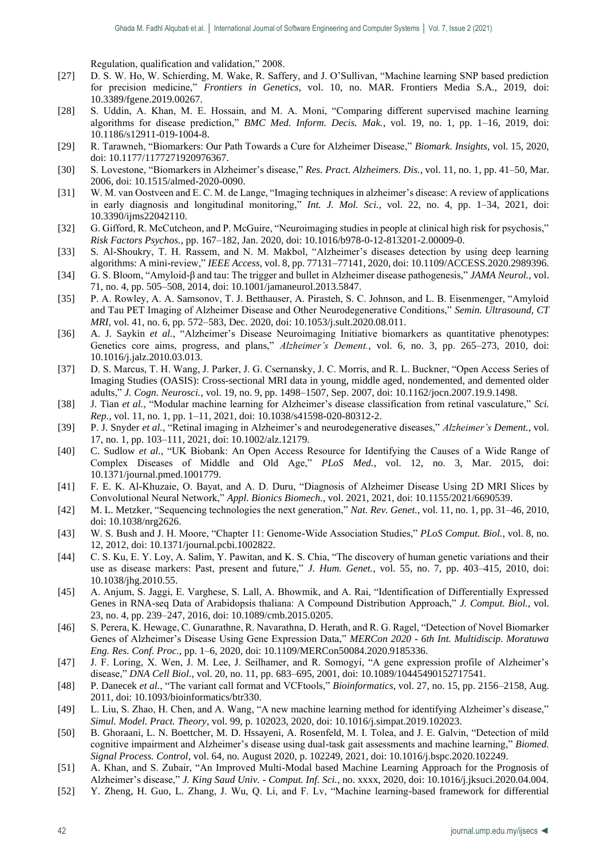Regulation, qualification and validation," 2008.

- [27] D. S. W. Ho, W. Schierding, M. Wake, R. Saffery, and J. O'Sullivan, "Machine learning SNP based prediction for precision medicine," *Frontiers in Genetics*, vol. 10, no. MAR. Frontiers Media S.A., 2019, doi: 10.3389/fgene.2019.00267.
- [28] S. Uddin, A. Khan, M. E. Hossain, and M. A. Moni, "Comparing different supervised machine learning algorithms for disease prediction," *BMC Med. Inform. Decis. Mak.*, vol. 19, no. 1, pp. 1–16, 2019, doi: 10.1186/s12911-019-1004-8.
- [29] R. Tarawneh, "Biomarkers: Our Path Towards a Cure for Alzheimer Disease," *Biomark. Insights*, vol. 15, 2020, doi: 10.1177/1177271920976367.
- [30] S. Lovestone, "Biomarkers in Alzheimer's disease," *Res. Pract. Alzheimers. Dis.*, vol. 11, no. 1, pp. 41–50, Mar. 2006, doi: 10.1515/almed-2020-0090.
- [31] W. M. van Oostveen and E. C. M. de Lange, "Imaging techniques in alzheimer's disease: A review of applications in early diagnosis and longitudinal monitoring," *Int. J. Mol. Sci.*, vol. 22, no. 4, pp. 1–34, 2021, doi: 10.3390/ijms22042110.
- [32] G. Gifford, R. McCutcheon, and P. McGuire, "Neuroimaging studies in people at clinical high risk for psychosis," *Risk Factors Psychos.*, pp. 167–182, Jan. 2020, doi: 10.1016/b978-0-12-813201-2.00009-0.
- [33] S. Al-Shoukry, T. H. Rassem, and N. M. Makbol, "Alzheimer's diseases detection by using deep learning algorithms: A mini-review," *IEEE Access*, vol. 8, pp. 77131–77141, 2020, doi: 10.1109/ACCESS.2020.2989396.
- [34] G. S. Bloom, "Amyloid-β and tau: The trigger and bullet in Alzheimer disease pathogenesis," *JAMA Neurol.*, vol. 71, no. 4, pp. 505–508, 2014, doi: 10.1001/jamaneurol.2013.5847.
- [35] P. A. Rowley, A. A. Samsonov, T. J. Betthauser, A. Pirasteh, S. C. Johnson, and L. B. Eisenmenger, "Amyloid and Tau PET Imaging of Alzheimer Disease and Other Neurodegenerative Conditions," *Semin. Ultrasound, CT MRI*, vol. 41, no. 6, pp. 572–583, Dec. 2020, doi: 10.1053/j.sult.2020.08.011.
- [36] A. J. Saykin *et al.*, "Alzheimer's Disease Neuroimaging Initiative biomarkers as quantitative phenotypes: Genetics core aims, progress, and plans," *Alzheimer's Dement.*, vol. 6, no. 3, pp. 265–273, 2010, doi: 10.1016/j.jalz.2010.03.013.
- [37] D. S. Marcus, T. H. Wang, J. Parker, J. G. Csernansky, J. C. Morris, and R. L. Buckner, "Open Access Series of Imaging Studies (OASIS): Cross-sectional MRI data in young, middle aged, nondemented, and demented older adults," *J. Cogn. Neurosci.*, vol. 19, no. 9, pp. 1498–1507, Sep. 2007, doi: 10.1162/jocn.2007.19.9.1498.
- [38] J. Tian *et al.*, "Modular machine learning for Alzheimer's disease classification from retinal vasculature," *Sci. Rep.*, vol. 11, no. 1, pp. 1–11, 2021, doi: 10.1038/s41598-020-80312-2.
- [39] P. J. Snyder *et al.*, "Retinal imaging in Alzheimer's and neurodegenerative diseases," *Alzheimer's Dement.*, vol. 17, no. 1, pp. 103–111, 2021, doi: 10.1002/alz.12179.
- [40] C. Sudlow *et al.*, "UK Biobank: An Open Access Resource for Identifying the Causes of a Wide Range of Complex Diseases of Middle and Old Age," *PLoS Med.*, vol. 12, no. 3, Mar. 2015, doi: 10.1371/journal.pmed.1001779.
- [41] F. E. K. Al-Khuzaie, O. Bayat, and A. D. Duru, "Diagnosis of Alzheimer Disease Using 2D MRI Slices by Convolutional Neural Network," *Appl. Bionics Biomech.*, vol. 2021, 2021, doi: 10.1155/2021/6690539.
- [42] M. L. Metzker, "Sequencing technologies the next generation," *Nat. Rev. Genet.*, vol. 11, no. 1, pp. 31–46, 2010, doi: 10.1038/nrg2626.
- [43] W. S. Bush and J. H. Moore, "Chapter 11: Genome-Wide Association Studies," *PLoS Comput. Biol.*, vol. 8, no. 12, 2012, doi: 10.1371/journal.pcbi.1002822.
- [44] C. S. Ku, E. Y. Loy, A. Salim, Y. Pawitan, and K. S. Chia, "The discovery of human genetic variations and their use as disease markers: Past, present and future," *J. Hum. Genet.*, vol. 55, no. 7, pp. 403–415, 2010, doi: 10.1038/jhg.2010.55.
- [45] A. Anjum, S. Jaggi, E. Varghese, S. Lall, A. Bhowmik, and A. Rai, "Identification of Differentially Expressed Genes in RNA-seq Data of Arabidopsis thaliana: A Compound Distribution Approach," *J. Comput. Biol.*, vol. 23, no. 4, pp. 239–247, 2016, doi: 10.1089/cmb.2015.0205.
- [46] S. Perera, K. Hewage, C. Gunarathne, R. Navarathna, D. Herath, and R. G. Ragel, "Detection of Novel Biomarker Genes of Alzheimer's Disease Using Gene Expression Data," *MERCon 2020 - 6th Int. Multidiscip. Moratuwa Eng. Res. Conf. Proc.*, pp. 1–6, 2020, doi: 10.1109/MERCon50084.2020.9185336.
- [47] J. F. Loring, X. Wen, J. M. Lee, J. Seilhamer, and R. Somogyi, "A gene expression profile of Alzheimer's disease," *DNA Cell Biol.*, vol. 20, no. 11, pp. 683–695, 2001, doi: 10.1089/10445490152717541.
- [48] P. Danecek *et al.*, "The variant call format and VCFtools," *Bioinformatics*, vol. 27, no. 15, pp. 2156–2158, Aug. 2011, doi: 10.1093/bioinformatics/btr330.
- [49] L. Liu, S. Zhao, H. Chen, and A. Wang, "A new machine learning method for identifying Alzheimer's disease," *Simul. Model. Pract. Theory*, vol. 99, p. 102023, 2020, doi: 10.1016/j.simpat.2019.102023.
- [50] B. Ghoraani, L. N. Boettcher, M. D. Hssayeni, A. Rosenfeld, M. I. Tolea, and J. E. Galvin, "Detection of mild cognitive impairment and Alzheimer's disease using dual-task gait assessments and machine learning," *Biomed. Signal Process. Control*, vol. 64, no. August 2020, p. 102249, 2021, doi: 10.1016/j.bspc.2020.102249.
- [51] A. Khan, and S. Zubair, "An Improved Multi-Modal based Machine Learning Approach for the Prognosis of Alzheimer's disease," *J. King Saud Univ. - Comput. Inf. Sci.*, no. xxxx, 2020, doi: 10.1016/j.jksuci.2020.04.004.
- [52] Y. Zheng, H. Guo, L. Zhang, J. Wu, Q. Li, and F. Lv, "Machine learning-based framework for differential